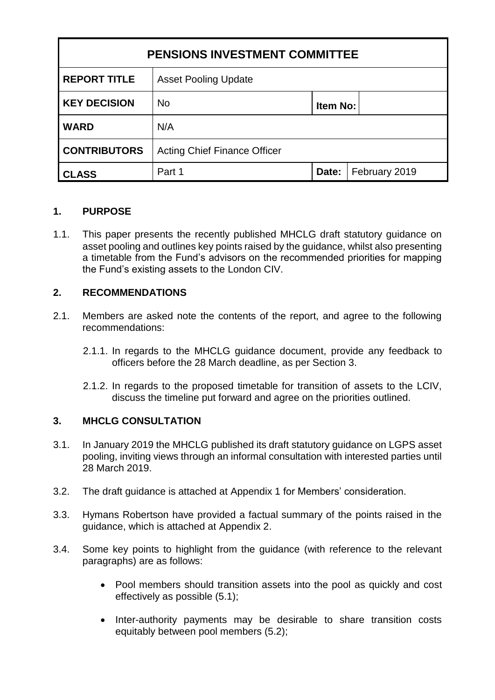| <b>PENSIONS INVESTMENT COMMITTEE</b> |                                     |          |               |
|--------------------------------------|-------------------------------------|----------|---------------|
| <b>REPORT TITLE</b>                  | <b>Asset Pooling Update</b>         |          |               |
| <b>KEY DECISION</b>                  | <b>No</b>                           | Item No: |               |
| <b>WARD</b>                          | N/A                                 |          |               |
| <b>CONTRIBUTORS</b>                  | <b>Acting Chief Finance Officer</b> |          |               |
| <b>CLASS</b>                         | Part 1                              | Date:    | February 2019 |

## **1. PURPOSE**

1.1. This paper presents the recently published MHCLG draft statutory guidance on asset pooling and outlines key points raised by the guidance, whilst also presenting a timetable from the Fund's advisors on the recommended priorities for mapping the Fund's existing assets to the London CIV.

#### **2. RECOMMENDATIONS**

- 2.1. Members are asked note the contents of the report, and agree to the following recommendations:
	- 2.1.1. In regards to the MHCLG guidance document, provide any feedback to officers before the 28 March deadline, as per Section 3.
	- 2.1.2. In regards to the proposed timetable for transition of assets to the LCIV, discuss the timeline put forward and agree on the priorities outlined.

#### **3. MHCLG CONSULTATION**

- 3.1. In January 2019 the MHCLG published its draft statutory guidance on LGPS asset pooling, inviting views through an informal consultation with interested parties until 28 March 2019.
- 3.2. The draft guidance is attached at Appendix 1 for Members' consideration.
- 3.3. Hymans Robertson have provided a factual summary of the points raised in the guidance, which is attached at Appendix 2.
- 3.4. Some key points to highlight from the guidance (with reference to the relevant paragraphs) are as follows:
	- Pool members should transition assets into the pool as quickly and cost effectively as possible (5.1);
	- Inter-authority payments may be desirable to share transition costs equitably between pool members (5.2);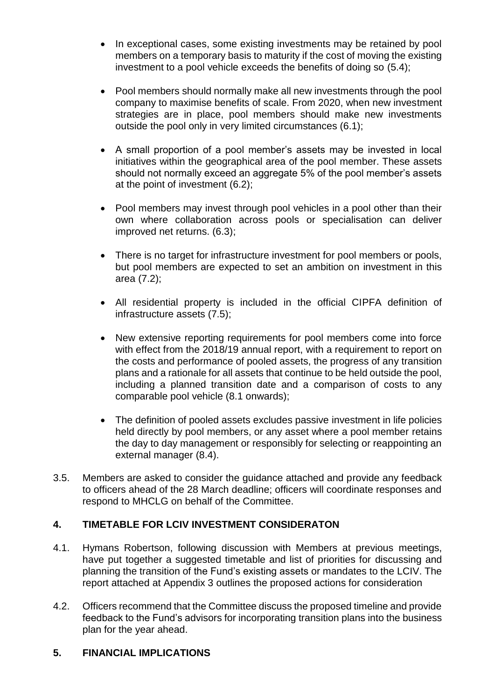- In exceptional cases, some existing investments may be retained by pool members on a temporary basis to maturity if the cost of moving the existing investment to a pool vehicle exceeds the benefits of doing so (5.4);
- Pool members should normally make all new investments through the pool company to maximise benefits of scale. From 2020, when new investment strategies are in place, pool members should make new investments outside the pool only in very limited circumstances (6.1);
- A small proportion of a pool member's assets may be invested in local initiatives within the geographical area of the pool member. These assets should not normally exceed an aggregate 5% of the pool member's assets at the point of investment (6.2);
- Pool members may invest through pool vehicles in a pool other than their own where collaboration across pools or specialisation can deliver improved net returns. (6.3);
- There is no target for infrastructure investment for pool members or pools, but pool members are expected to set an ambition on investment in this area (7.2);
- All residential property is included in the official CIPFA definition of infrastructure assets (7.5);
- New extensive reporting requirements for pool members come into force with effect from the 2018/19 annual report, with a requirement to report on the costs and performance of pooled assets, the progress of any transition plans and a rationale for all assets that continue to be held outside the pool, including a planned transition date and a comparison of costs to any comparable pool vehicle (8.1 onwards);
- The definition of pooled assets excludes passive investment in life policies held directly by pool members, or any asset where a pool member retains the day to day management or responsibly for selecting or reappointing an external manager (8.4).
- 3.5. Members are asked to consider the guidance attached and provide any feedback to officers ahead of the 28 March deadline; officers will coordinate responses and respond to MHCLG on behalf of the Committee.

## **4. TIMETABLE FOR LCIV INVESTMENT CONSIDERATON**

- 4.1. Hymans Robertson, following discussion with Members at previous meetings, have put together a suggested timetable and list of priorities for discussing and planning the transition of the Fund's existing assets or mandates to the LCIV. The report attached at Appendix 3 outlines the proposed actions for consideration
- 4.2. Officers recommend that the Committee discuss the proposed timeline and provide feedback to the Fund's advisors for incorporating transition plans into the business plan for the year ahead.

## **5. FINANCIAL IMPLICATIONS**